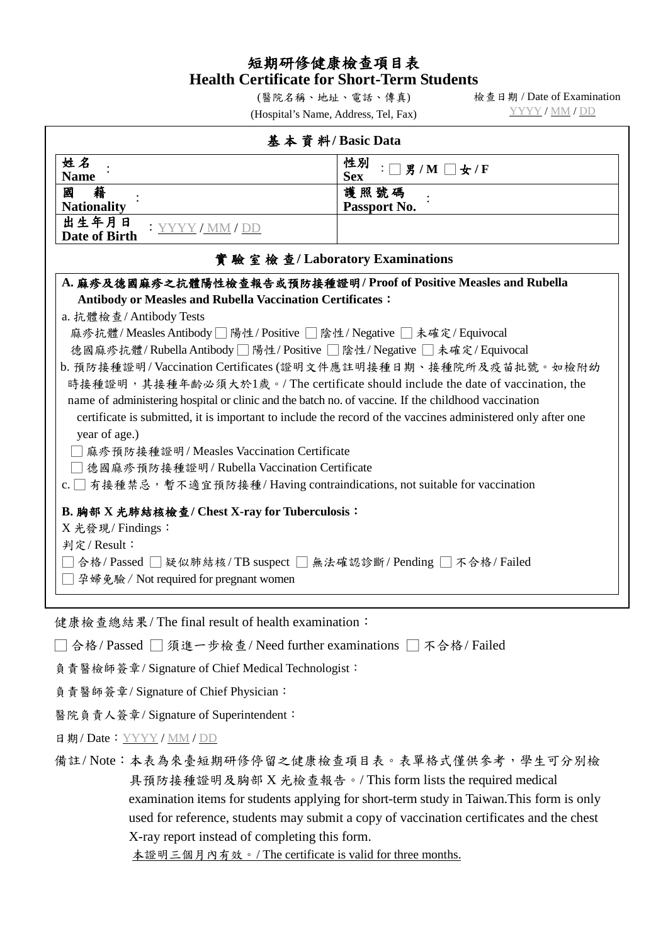## 短期研修健康檢查項目表 **Health Certificate for Short-Term Students**

(醫院名稱、地址、電話、傳真) (Hospital's Name, Address, Tel, Fax) 檢查日期 / Date of Examination YYYY / MM / DD

| 基本資料/Basic Data                                                                                             |                                 |  |
|-------------------------------------------------------------------------------------------------------------|---------------------------------|--|
| 姓名<br><b>Name</b>                                                                                           | 性別<br>: □男/M □女/F<br><b>Sex</b> |  |
| 籍<br>國<br><b>Nationality</b>                                                                                | 護照號碼<br>Passport No.            |  |
| 出生年月日<br>: YYYY/MM/DD<br><b>Date of Birth</b>                                                               |                                 |  |
| 實驗室檢查/Laboratory Examinations                                                                               |                                 |  |
| A. 麻疹及德國麻疹之抗體陽性檢查報告或預防接種證明/Proof of Positive Measles and Rubella                                            |                                 |  |
| Antibody or Measles and Rubella Vaccination Certificates:                                                   |                                 |  |
| a. 抗體檢查/Antibody Tests                                                                                      |                                 |  |
| 麻疹抗體/Measles Antibody□陽性/Positive □陰性/Negative □未確定/Equivocal                                               |                                 |  |
| 德國麻疹抗體/Rubella Antibody□陽性/Positive □陰性/Negative □未確定/Equivocal                                             |                                 |  |
| b. 預防接種證明/Vaccination Certificates (證明文件應註明接種日期、接種院所及疫苗批號。如檢附幼                                              |                                 |  |
| 時接種證明,其接種年齡必須大於1歲。/ The certificate should include the date of vaccination, the                             |                                 |  |
| name of administering hospital or clinic and the batch no. of vaccine. If the childhood vaccination         |                                 |  |
| certificate is submitted, it is important to include the record of the vaccines administered only after one |                                 |  |
| year of age.)                                                                                               |                                 |  |
| □ 麻疹預防接種證明/Measles Vaccination Certificate                                                                  |                                 |  |
| □德國麻疹預防接種證明/Rubella Vaccination Certificate                                                                 |                                 |  |
| c. □ 有接種禁忌,暫不適宜預防接種/Having contraindications, not suitable for vaccination                                  |                                 |  |
| B. 胸部 X 光肺結核檢查/ Chest X-ray for Tuberculosis:                                                               |                                 |  |
| X 光發現/Findings:                                                                                             |                                 |  |
| 判定/Result:                                                                                                  |                                 |  |
| ̄合格/Passed □ 疑似肺結核/TB suspect □ 無法確認診斷/Pending □ 不合格/Failed                                                 |                                 |  |
| □ 孕婦免驗 / Not required for pregnant women                                                                    |                                 |  |
|                                                                                                             |                                 |  |
| 健康檢查總結果/The final result of health examination:                                                             |                                 |  |
| □合格/Passed □須進一步檢查/Need further examinations □不合格/Failed                                                    |                                 |  |
|                                                                                                             |                                 |  |

負責醫檢師簽章/ Signature of Chief Medical Technologist:

負責醫師簽章/ Signature of Chief Physician:

醫院負責人簽章/ Signature of Superintendent:

日期/ Date:YYYY / MM / DD

備註/ Note:本表為來臺短期研修停留之健康檢查項目表。表單格式僅供參考,學生可分別檢 具預防接種證明及胸部 X 光檢查報告。/ This form lists the required medical examination items for students applying for short-term study in Taiwan.This form is only used for reference, students may submit a copy of vaccination certificates and the chest X-ray report instead of completing this form.

本證明三個月內有效。/ The certificate is valid for three months.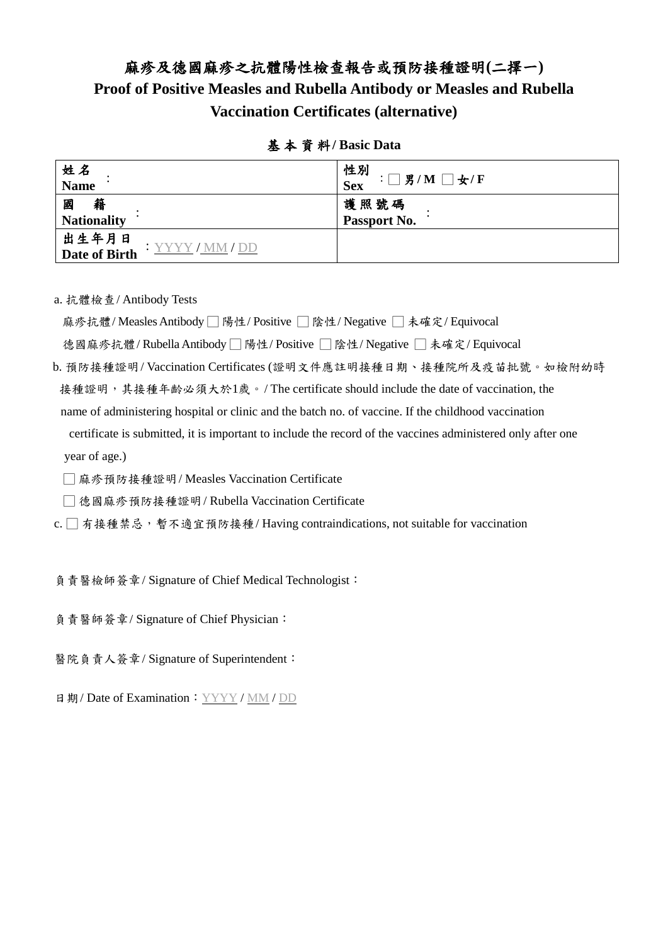## 麻疹及德國麻疹之抗體陽性檢查報告或預防接種證明**(**二擇一**) Proof of Positive Measles and Rubella Antibody or Measles and Rubella Vaccination Certificates (alternative)**

| 姓名<br><b>Name</b>            | 性別<br>Sex<br>$:\square$ 男/M $\square$ 女/F |
|------------------------------|-------------------------------------------|
| 籍<br>國<br><b>Nationality</b> | 護照號碼<br>Passport No.                      |
| 出生年月日<br>Date of Birth       |                                           |

基 本 資 料**/ Basic Data**

a. 抗體檢查/ Antibody Tests

麻疹抗體/ Measles Antibody □ 陽性/ Positive □ 陰性/ Negative □ 未確定/ Equivocal

德國麻疹抗體/ Rubella Antibody □ 陽性/ Positive □ 陰性/ Negative □ 未確定/ Equivocal

b. 預防接種證明/ Vaccination Certificates (證明文件應註明接種日期、接種院所及疫苗批號。如檢附幼時 接種證明,其接種年齡必須大於1歲。/ The certificate should include the date of vaccination, the name of administering hospital or clinic and the batch no. of vaccine. If the childhood vaccination

certificate is submitted, it is important to include the record of the vaccines administered only after one year of age.)

□ 麻疹預防接種證明/ Measles Vaccination Certificate

□ 德國麻疹預防接種證明/ Rubella Vaccination Certificate

c. □ 有接種禁忌,暫不適宜預防接種/ Having contraindications, not suitable for vaccination

負責醫檢師簽章/ Signature of Chief Medical Technologist:

負責醫師簽章/ Signature of Chief Physician:

- 醫院負責人簽章/ Signature of Superintendent:
- 日期/Date of Examination: YYYY / MM / DD